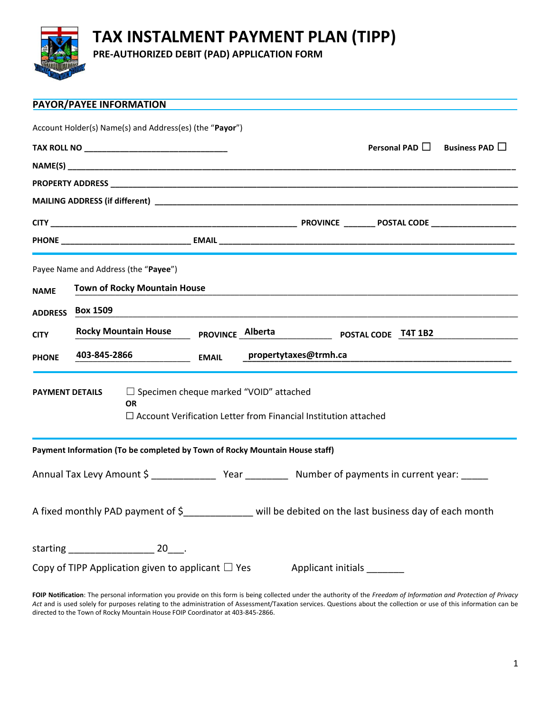

## **TAX INSTALMENT PAYMENT PLAN (TIPP)**

**PRE-AUTHORIZED DEBIT (PAD) APPLICATION FORM**

|                                                                                                                                                                | PAYOR/PAYEE INFORMATION                                                     |  |              |  |                       |  |                     |                     |
|----------------------------------------------------------------------------------------------------------------------------------------------------------------|-----------------------------------------------------------------------------|--|--------------|--|-----------------------|--|---------------------|---------------------|
|                                                                                                                                                                | Account Holder(s) Name(s) and Address(es) (the "Payor")                     |  |              |  |                       |  |                     |                     |
|                                                                                                                                                                |                                                                             |  |              |  |                       |  | Personal PAD $\Box$ | Business PAD $\Box$ |
|                                                                                                                                                                |                                                                             |  |              |  |                       |  |                     |                     |
|                                                                                                                                                                |                                                                             |  |              |  |                       |  |                     |                     |
|                                                                                                                                                                |                                                                             |  |              |  |                       |  |                     |                     |
|                                                                                                                                                                |                                                                             |  |              |  |                       |  |                     |                     |
|                                                                                                                                                                |                                                                             |  |              |  |                       |  |                     |                     |
|                                                                                                                                                                | Payee Name and Address (the "Payee")                                        |  |              |  |                       |  |                     |                     |
| <b>NAME</b>                                                                                                                                                    | <b>Town of Rocky Mountain House</b>                                         |  |              |  |                       |  |                     |                     |
| <b>ADDRESS</b>                                                                                                                                                 | <b>Box 1509</b>                                                             |  |              |  |                       |  |                     |                     |
| <b>CITY</b>                                                                                                                                                    | <b>Rocky Mountain House</b><br>PROVINCE Alberta POSTAL CODE T4T 1B2         |  |              |  |                       |  |                     |                     |
| <b>PHONE</b>                                                                                                                                                   | 403-845-2866                                                                |  | <b>EMAIL</b> |  | propertytaxes@trmh.ca |  |                     |                     |
| $\Box$ Specimen cheque marked "VOID" attached<br><b>PAYMENT DETAILS</b><br><b>OR</b><br>$\Box$ Account Verification Letter from Financial Institution attached |                                                                             |  |              |  |                       |  |                     |                     |
|                                                                                                                                                                | Payment Information (To be completed by Town of Rocky Mountain House staff) |  |              |  |                       |  |                     |                     |
|                                                                                                                                                                |                                                                             |  |              |  |                       |  |                     |                     |
| A fixed monthly PAD payment of \$______________ will be debited on the last business day of each month                                                         |                                                                             |  |              |  |                       |  |                     |                     |
|                                                                                                                                                                |                                                                             |  |              |  |                       |  |                     |                     |
| Copy of TIPP Application given to applicant $\Box$ Yes<br>Applicant initials _______                                                                           |                                                                             |  |              |  |                       |  |                     |                     |

**FOIP Notification**: The personal information you provide on this form is being collected under the authority of the *Freedom of Information and Protection of Privacy Act* and is used solely for purposes relating to the administration of Assessment/Taxation services. Questions about the collection or use of this information can be directed to the Town of Rocky Mountain House FOIP Coordinator at 403-845-2866.